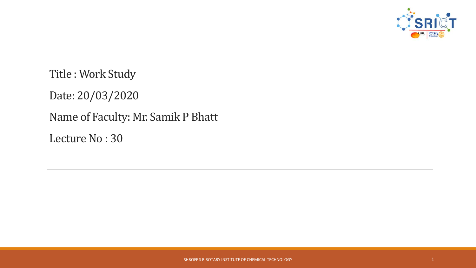

Title : Work Study Date: 20/03/2020 Name of Faculty: Mr. Samik P Bhatt Lecture No : 30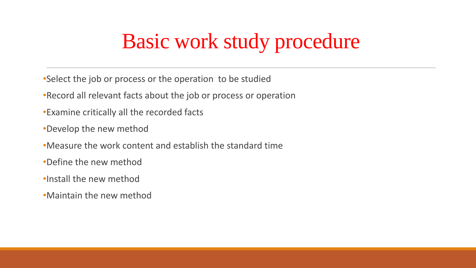## Basic work study procedure

- •Select the job or process or the operation to be studied
- •Record all relevant facts about the job or process or operation
- •Examine critically all the recorded facts
- •Develop the new method
- •Measure the work content and establish the standard time
- •Define the new method
- •Install the new method
- •Maintain the new method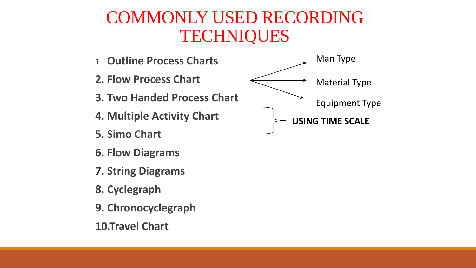#### COMMONLY USED RECORDING **TECHNIQUES**

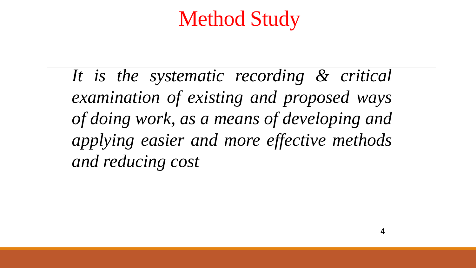## Method Study

*It is the systematic recording & critical examination of existing and proposed ways of doing work, as a means of developing and applying easier and more effective methods and reducing cost*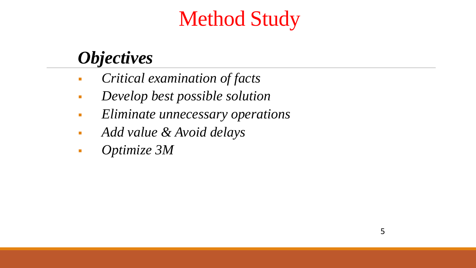# Method Study

#### *Objectives*

- *Critical examination of facts*
- *Develop best possible solution*
- *Eliminate unnecessary operations*
- *Add value & Avoid delays*
- *Optimize 3M*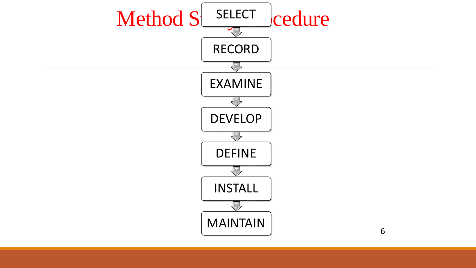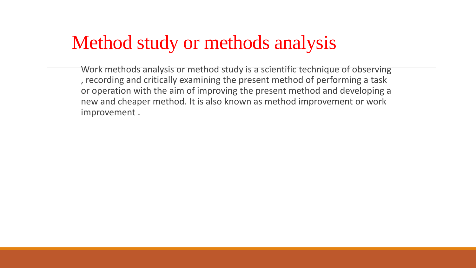### Method study or methods analysis

Work methods analysis or method study is a scientific technique of observing , recording and critically examining the present method of performing a task or operation with the aim of improving the present method and developing a new and cheaper method. It is also known as method improvement or work improvement .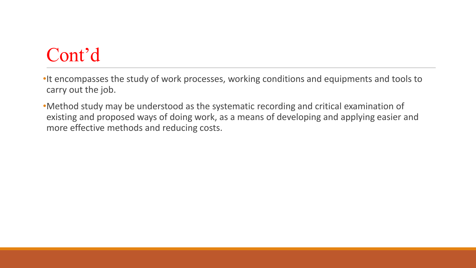## Cont'd

•It encompasses the study of work processes, working conditions and equipments and tools to carry out the job.

•Method study may be understood as the systematic recording and critical examination of existing and proposed ways of doing work, as a means of developing and applying easier and more effective methods and reducing costs.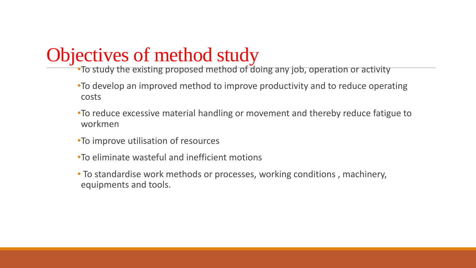### Objectives of method study

•To study the existing proposed method of doing any job, operation or activity

- •To develop an improved method to improve productivity and to reduce operating costs
- •To reduce excessive material handling or movement and thereby reduce fatigue to workmen
- •To improve utilisation of resources
- •To eliminate wasteful and inefficient motions
- To standardise work methods or processes, working conditions , machinery, equipments and tools.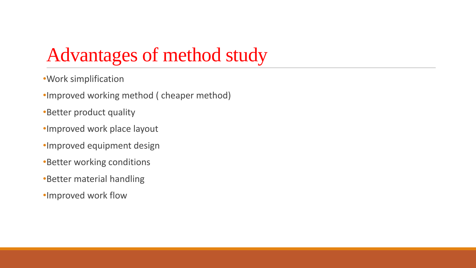### Advantages of method study

- •Work simplification
- •Improved working method ( cheaper method)
- •Better product quality
- •Improved work place layout
- •Improved equipment design
- •Better working conditions
- •Better material handling
- •Improved work flow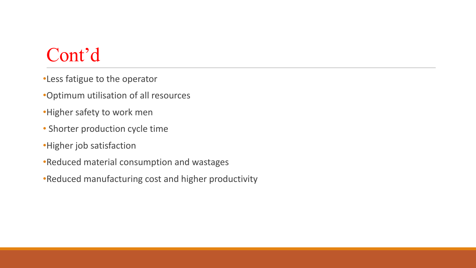### Cont'd

- •Less fatigue to the operator
- •Optimum utilisation of all resources
- •Higher safety to work men
- Shorter production cycle time
- •Higher job satisfaction
- •Reduced material consumption and wastages
- •Reduced manufacturing cost and higher productivity